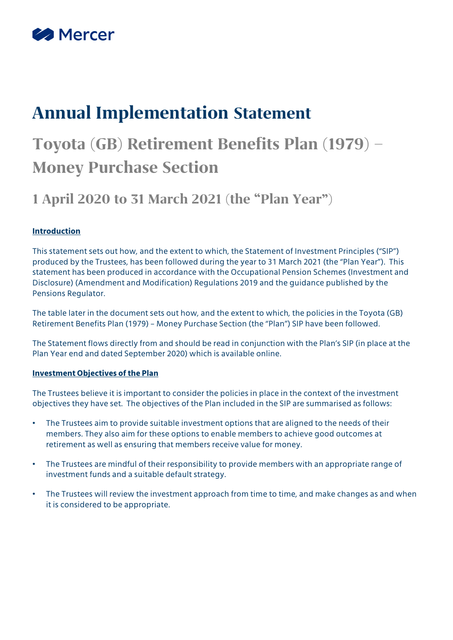

# **Annual Implementation Statement**

# **Toyota (GB) Retirement Benefits Plan (1979) – Money Purchase Section**

## **1 April 2020 to 31 March 2021 (the "Plan Year")**

#### **Introduction**

This statement sets out how, and the extent to which, the Statement of Investment Principles ("SIP") produced by the Trustees, has been followed during the year to 31 March 2021 (the "Plan Year"). This statement has been produced in accordance with the Occupational Pension Schemes (Investment and Disclosure) (Amendment and Modification) Regulations 2019 and the guidance published by the Pensions Regulator.

The table later in the document sets out how, and the extent to which, the policies in the Toyota (GB) Retirement Benefits Plan (1979) – Money Purchase Section (the "Plan") SIP have been followed.

The Statement flows directly from and should be read in conjunction with the Plan's SIP (in place at the Plan Year end and dated September 2020) which is available online.

#### **Investment Objectives of the Plan**

The Trustees believe it is important to consider the policies in place in the context of the investment objectives they have set. The objectives of the Plan included in the SIP are summarised as follows:

- The Trustees aim to provide suitable investment options that are aligned to the needs of their members. They also aim for these options to enable members to achieve good outcomes at retirement as well as ensuring that members receive value for money.
- The Trustees are mindful of their responsibility to provide members with an appropriate range of investment funds and a suitable default strategy.
- The Trustees will review the investment approach from time to time, and make changes as and when it is considered to be appropriate.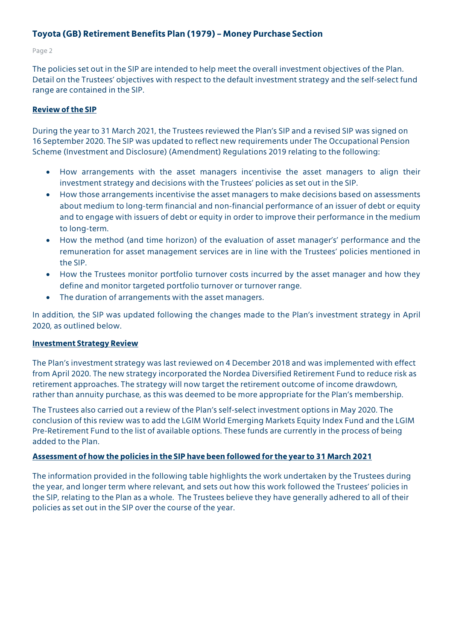#### Page 2

The policies set out in the SIP are intended to help meet the overall investment objectives of the Plan. Detail on the Trustees' objectives with respect to the default investment strategy and the self-select fund range are contained in the SIP.

#### **Review of the SIP**

During the year to 31 March 2021, the Trustees reviewed the Plan's SIP and a revised SIP was signed on 16 September 2020. The SIP was updated to reflect new requirements under The Occupational Pension Scheme (Investment and Disclosure) (Amendment) Regulations 2019 relating to the following:

- How arrangements with the asset managers incentivise the asset managers to align their investment strategy and decisions with the Trustees' policies as set out in the SIP.
- How those arrangements incentivise the asset managers to make decisions based on assessments about medium to long-term financial and non-financial performance of an issuer of debt or equity and to engage with issuers of debt or equity in order to improve their performance in the medium to long-term.
- How the method (and time horizon) of the evaluation of asset manager's' performance and the remuneration for asset management services are in line with the Trustees' policies mentioned in the SIP.
- How the Trustees monitor portfolio turnover costs incurred by the asset manager and how they define and monitor targeted portfolio turnover or turnover range.
- The duration of arrangements with the asset managers.

In addition, the SIP was updated following the changes made to the Plan's investment strategy in April 2020, as outlined below.

#### **Investment Strategy Review**

The Plan's investment strategy was last reviewed on 4 December 2018 and was implemented with effect from April 2020. The new strategy incorporated the Nordea Diversified Retirement Fund to reduce risk as retirement approaches. The strategy will now target the retirement outcome of income drawdown, rather than annuity purchase, as this was deemed to be more appropriate for the Plan's membership.

The Trustees also carried out a review of the Plan's self-select investment options in May 2020. The conclusion of this review was to add the LGIM World Emerging Markets Equity Index Fund and the LGIM Pre-Retirement Fund to the list of available options. These funds are currently in the process of being added to the Plan.

#### **Assessment of how the policies in the SIP have been followed for the year to 31 March 2021**

The information provided in the following table highlights the work undertaken by the Trustees during the year, and longer term where relevant, and sets out how this work followed the Trustees' policies in the SIP, relating to the Plan as a whole. The Trustees believe they have generally adhered to all of their policies as set out in the SIP over the course of the year.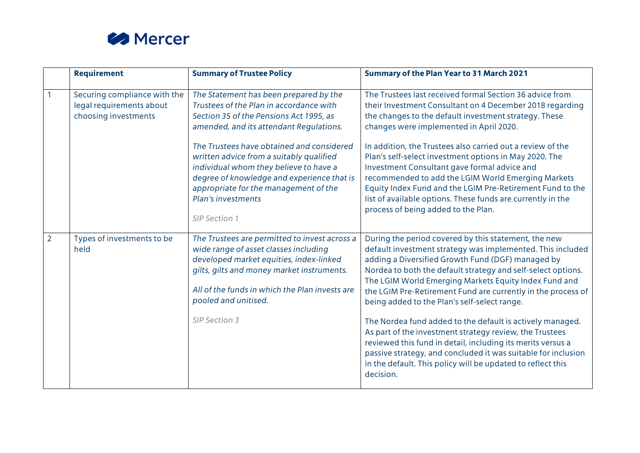

|                | <b>Requirement</b>                                                               | <b>Summary of Trustee Policy</b>                                                                                                                                                                                                                              | <b>Summary of the Plan Year to 31 March 2021</b>                                                                                                                                                                                                                                                                                                                                                                 |
|----------------|----------------------------------------------------------------------------------|---------------------------------------------------------------------------------------------------------------------------------------------------------------------------------------------------------------------------------------------------------------|------------------------------------------------------------------------------------------------------------------------------------------------------------------------------------------------------------------------------------------------------------------------------------------------------------------------------------------------------------------------------------------------------------------|
|                | Securing compliance with the<br>legal requirements about<br>choosing investments | The Statement has been prepared by the<br>Trustees of the Plan in accordance with<br>Section 35 of the Pensions Act 1995, as<br>amended, and its attendant Regulations.                                                                                       | The Trustees last received formal Section 36 advice from<br>their Investment Consultant on 4 December 2018 regarding<br>the changes to the default investment strategy. These<br>changes were implemented in April 2020.                                                                                                                                                                                         |
|                |                                                                                  | The Trustees have obtained and considered<br>written advice from a suitably qualified<br>individual whom they believe to have a<br>degree of knowledge and experience that is<br>appropriate for the management of the<br>Plan's investments<br>SIP Section 1 | In addition, the Trustees also carried out a review of the<br>Plan's self-select investment options in May 2020. The<br>Investment Consultant gave formal advice and<br>recommended to add the LGIM World Emerging Markets<br>Equity Index Fund and the LGIM Pre-Retirement Fund to the<br>list of available options. These funds are currently in the<br>process of being added to the Plan.                    |
| $\overline{2}$ | Types of investments to be<br>held                                               | The Trustees are permitted to invest across a<br>wide range of asset classes including<br>developed market equities, index-linked<br>gilts, gilts and money market instruments.<br>All of the funds in which the Plan invests are<br>pooled and unitised.     | During the period covered by this statement, the new<br>default investment strategy was implemented. This included<br>adding a Diversified Growth Fund (DGF) managed by<br>Nordea to both the default strategy and self-select options.<br>The LGIM World Emerging Markets Equity Index Fund and<br>the LGIM Pre-Retirement Fund are currently in the process of<br>being added to the Plan's self-select range. |
|                |                                                                                  | <b>SIP Section 3</b>                                                                                                                                                                                                                                          | The Nordea fund added to the default is actively managed.<br>As part of the investment strategy review, the Trustees<br>reviewed this fund in detail, including its merits versus a<br>passive strategy, and concluded it was suitable for inclusion<br>in the default. This policy will be updated to reflect this<br>decision.                                                                                 |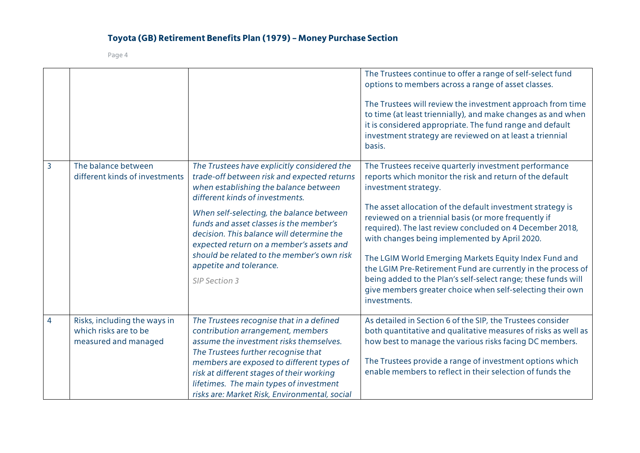|   |                                                                               |                                                                                                                                                                                                                                                                                                                                                                                                                                                  | The Trustees continue to offer a range of self-select fund<br>options to members across a range of asset classes.<br>The Trustees will review the investment approach from time<br>to time (at least triennially), and make changes as and when<br>it is considered appropriate. The fund range and default<br>investment strategy are reviewed on at least a triennial<br>basis.                                                                                                                                                                                                                                                                   |
|---|-------------------------------------------------------------------------------|--------------------------------------------------------------------------------------------------------------------------------------------------------------------------------------------------------------------------------------------------------------------------------------------------------------------------------------------------------------------------------------------------------------------------------------------------|-----------------------------------------------------------------------------------------------------------------------------------------------------------------------------------------------------------------------------------------------------------------------------------------------------------------------------------------------------------------------------------------------------------------------------------------------------------------------------------------------------------------------------------------------------------------------------------------------------------------------------------------------------|
| 3 | The balance between<br>different kinds of investments                         | The Trustees have explicitly considered the<br>trade-off between risk and expected returns<br>when establishing the balance between<br>different kinds of investments.<br>When self-selecting, the balance between<br>funds and asset classes is the member's<br>decision. This balance will determine the<br>expected return on a member's assets and<br>should be related to the member's own risk<br>appetite and tolerance.<br>SIP Section 3 | The Trustees receive quarterly investment performance<br>reports which monitor the risk and return of the default<br>investment strategy.<br>The asset allocation of the default investment strategy is<br>reviewed on a triennial basis (or more frequently if<br>required). The last review concluded on 4 December 2018,<br>with changes being implemented by April 2020.<br>The LGIM World Emerging Markets Equity Index Fund and<br>the LGIM Pre-Retirement Fund are currently in the process of<br>being added to the Plan's self-select range; these funds will<br>give members greater choice when self-selecting their own<br>investments. |
| 4 | Risks, including the ways in<br>which risks are to be<br>measured and managed | The Trustees recognise that in a defined<br>contribution arrangement, members<br>assume the investment risks themselves.<br>The Trustees further recognise that<br>members are exposed to different types of<br>risk at different stages of their working<br>lifetimes. The main types of investment<br>risks are: Market Risk, Environmental, social                                                                                            | As detailed in Section 6 of the SIP, the Trustees consider<br>both quantitative and qualitative measures of risks as well as<br>how best to manage the various risks facing DC members.<br>The Trustees provide a range of investment options which<br>enable members to reflect in their selection of funds the                                                                                                                                                                                                                                                                                                                                    |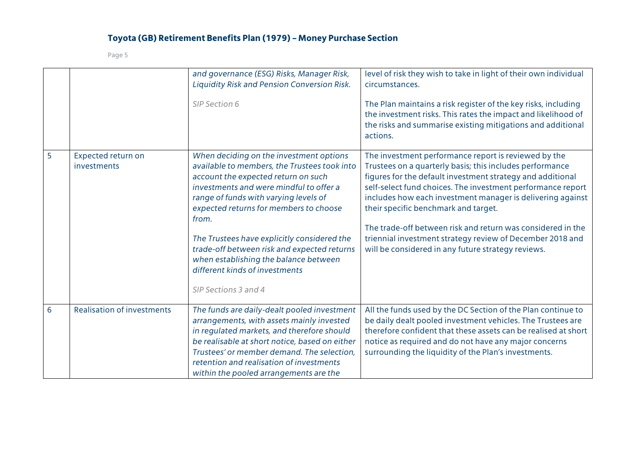|   |                                   | and governance (ESG) Risks, Manager Risk,<br>Liquidity Risk and Pension Conversion Risk.                                                                                                                                                                                                                                     | level of risk they wish to take in light of their own individual<br>circumstances.                                                                                                                                                                                                                                                                                                                                 |
|---|-----------------------------------|------------------------------------------------------------------------------------------------------------------------------------------------------------------------------------------------------------------------------------------------------------------------------------------------------------------------------|--------------------------------------------------------------------------------------------------------------------------------------------------------------------------------------------------------------------------------------------------------------------------------------------------------------------------------------------------------------------------------------------------------------------|
|   |                                   | SIP Section 6                                                                                                                                                                                                                                                                                                                | The Plan maintains a risk register of the key risks, including<br>the investment risks. This rates the impact and likelihood of<br>the risks and summarise existing mitigations and additional<br>actions.                                                                                                                                                                                                         |
| 5 | Expected return on<br>investments | When deciding on the investment options<br>available to members, the Trustees took into<br>account the expected return on such<br>investments and were mindful to offer a<br>range of funds with varying levels of<br>expected returns for members to choose<br>from.                                                        | The investment performance report is reviewed by the<br>Trustees on a quarterly basis; this includes performance<br>figures for the default investment strategy and additional<br>self-select fund choices. The investment performance report<br>includes how each investment manager is delivering against<br>their specific benchmark and target.<br>The trade-off between risk and return was considered in the |
|   |                                   | The Trustees have explicitly considered the<br>trade-off between risk and expected returns<br>when establishing the balance between<br>different kinds of investments<br>SIP Sections 3 and 4                                                                                                                                | triennial investment strategy review of December 2018 and<br>will be considered in any future strategy reviews.                                                                                                                                                                                                                                                                                                    |
| 6 | <b>Realisation of investments</b> | The funds are daily-dealt pooled investment<br>arrangements, with assets mainly invested<br>in regulated markets, and therefore should<br>be realisable at short notice, based on either<br>Trustees' or member demand. The selection,<br>retention and realisation of investments<br>within the pooled arrangements are the | All the funds used by the DC Section of the Plan continue to<br>be daily dealt pooled investment vehicles. The Trustees are<br>therefore confident that these assets can be realised at short<br>notice as required and do not have any major concerns<br>surrounding the liquidity of the Plan's investments.                                                                                                     |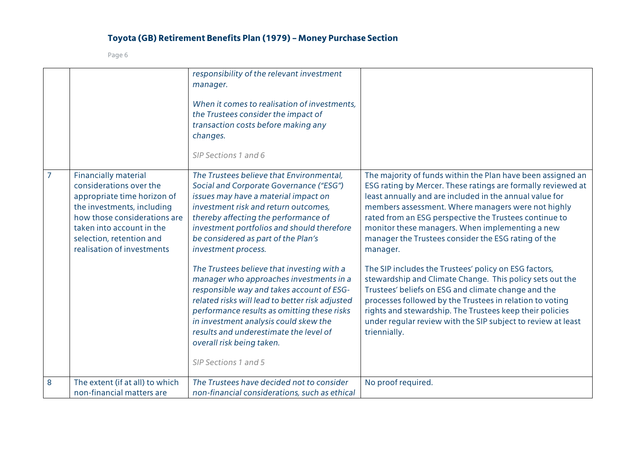|                |                                                                                                                                                                                                                                            | responsibility of the relevant investment<br>manager.<br>When it comes to realisation of investments,<br>the Trustees consider the impact of<br>transaction costs before making any<br>changes.<br>SIP Sections 1 and 6                                                                                                                                                      |                                                                                                                                                                                                                                                                                                                                                                                                                              |
|----------------|--------------------------------------------------------------------------------------------------------------------------------------------------------------------------------------------------------------------------------------------|------------------------------------------------------------------------------------------------------------------------------------------------------------------------------------------------------------------------------------------------------------------------------------------------------------------------------------------------------------------------------|------------------------------------------------------------------------------------------------------------------------------------------------------------------------------------------------------------------------------------------------------------------------------------------------------------------------------------------------------------------------------------------------------------------------------|
| $\overline{7}$ | <b>Financially material</b><br>considerations over the<br>appropriate time horizon of<br>the investments, including<br>how those considerations are<br>taken into account in the<br>selection, retention and<br>realisation of investments | The Trustees believe that Environmental,<br>Social and Corporate Governance ("ESG")<br>issues may have a material impact on<br>investment risk and return outcomes,<br>thereby affecting the performance of<br>investment portfolios and should therefore<br>be considered as part of the Plan's<br>investment process.                                                      | The majority of funds within the Plan have been assigned an<br>ESG rating by Mercer. These ratings are formally reviewed at<br>least annually and are included in the annual value for<br>members assessment. Where managers were not highly<br>rated from an ESG perspective the Trustees continue to<br>monitor these managers. When implementing a new<br>manager the Trustees consider the ESG rating of the<br>manager. |
|                |                                                                                                                                                                                                                                            | The Trustees believe that investing with a<br>manager who approaches investments in a<br>responsible way and takes account of ESG-<br>related risks will lead to better risk adjusted<br>performance results as omitting these risks<br>in investment analysis could skew the<br>results and underestimate the level of<br>overall risk being taken.<br>SIP Sections 1 and 5 | The SIP includes the Trustees' policy on ESG factors,<br>stewardship and Climate Change. This policy sets out the<br>Trustees' beliefs on ESG and climate change and the<br>processes followed by the Trustees in relation to voting<br>rights and stewardship. The Trustees keep their policies<br>under regular review with the SIP subject to review at least<br>triennially.                                             |
| 8              | The extent (if at all) to which<br>non-financial matters are                                                                                                                                                                               | The Trustees have decided not to consider<br>non-financial considerations, such as ethical                                                                                                                                                                                                                                                                                   | No proof required.                                                                                                                                                                                                                                                                                                                                                                                                           |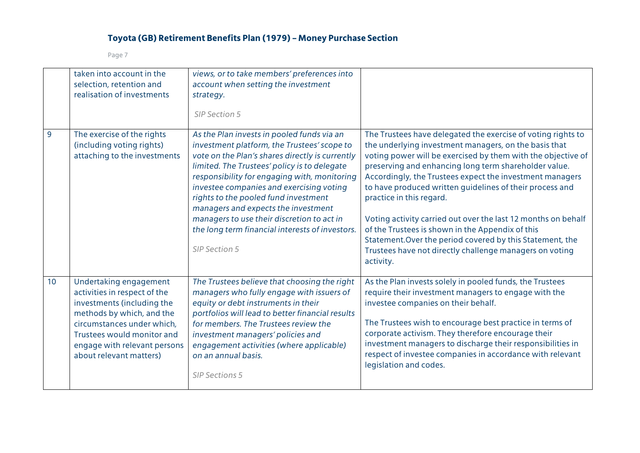|                 | taken into account in the<br>selection, retention and<br>realisation of investments                                                                                                                                                      | views, or to take members' preferences into<br>account when setting the investment<br>strategy.<br>SIP Section 5                                                                                                                                                                                                                                                                                                                                                                          |                                                                                                                                                                                                                                                                                                                                                                                                                                                                                                                                                                                                                                                              |
|-----------------|------------------------------------------------------------------------------------------------------------------------------------------------------------------------------------------------------------------------------------------|-------------------------------------------------------------------------------------------------------------------------------------------------------------------------------------------------------------------------------------------------------------------------------------------------------------------------------------------------------------------------------------------------------------------------------------------------------------------------------------------|--------------------------------------------------------------------------------------------------------------------------------------------------------------------------------------------------------------------------------------------------------------------------------------------------------------------------------------------------------------------------------------------------------------------------------------------------------------------------------------------------------------------------------------------------------------------------------------------------------------------------------------------------------------|
| 9               | The exercise of the rights<br>(including voting rights)<br>attaching to the investments                                                                                                                                                  | As the Plan invests in pooled funds via an<br>investment platform, the Trustees' scope to<br>vote on the Plan's shares directly is currently<br>limited. The Trustees' policy is to delegate<br>responsibility for engaging with, monitoring<br>investee companies and exercising voting<br>rights to the pooled fund investment<br>managers and expects the investment<br>managers to use their discretion to act in<br>the long term financial interests of investors.<br>SIP Section 5 | The Trustees have delegated the exercise of voting rights to<br>the underlying investment managers, on the basis that<br>voting power will be exercised by them with the objective of<br>preserving and enhancing long term shareholder value.<br>Accordingly, the Trustees expect the investment managers<br>to have produced written guidelines of their process and<br>practice in this regard.<br>Voting activity carried out over the last 12 months on behalf<br>of the Trustees is shown in the Appendix of this<br>Statement. Over the period covered by this Statement, the<br>Trustees have not directly challenge managers on voting<br>activity. |
| 10 <sup>°</sup> | Undertaking engagement<br>activities in respect of the<br>investments (including the<br>methods by which, and the<br>circumstances under which,<br>Trustees would monitor and<br>engage with relevant persons<br>about relevant matters) | The Trustees believe that choosing the right<br>managers who fully engage with issuers of<br>equity or debt instruments in their<br>portfolios will lead to better financial results<br>for members. The Trustees review the<br>investment managers' policies and<br>engagement activities (where applicable)<br>on an annual basis.<br><b>SIP Sections 5</b>                                                                                                                             | As the Plan invests solely in pooled funds, the Trustees<br>require their investment managers to engage with the<br>investee companies on their behalf.<br>The Trustees wish to encourage best practice in terms of<br>corporate activism. They therefore encourage their<br>investment managers to discharge their responsibilities in<br>respect of investee companies in accordance with relevant<br>legislation and codes.                                                                                                                                                                                                                               |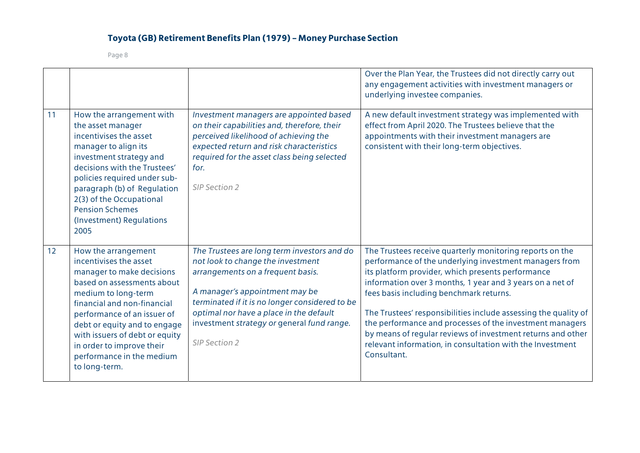|    |                                                                                                                                                                                                                                                                                                                                                                                                                                                                                                                                                                            |                                                                                                                                                                                                                                                                                                                     | Over the Plan Year, the Trustees did not directly carry out<br>any engagement activities with investment managers or<br>underlying investee companies.                                                                                                                                                                                                                                                                                                                                                                                                    |
|----|----------------------------------------------------------------------------------------------------------------------------------------------------------------------------------------------------------------------------------------------------------------------------------------------------------------------------------------------------------------------------------------------------------------------------------------------------------------------------------------------------------------------------------------------------------------------------|---------------------------------------------------------------------------------------------------------------------------------------------------------------------------------------------------------------------------------------------------------------------------------------------------------------------|-----------------------------------------------------------------------------------------------------------------------------------------------------------------------------------------------------------------------------------------------------------------------------------------------------------------------------------------------------------------------------------------------------------------------------------------------------------------------------------------------------------------------------------------------------------|
| 11 | How the arrangement with<br>Investment managers are appointed based<br>on their capabilities and, therefore, their<br>the asset manager<br>incentivises the asset<br>perceived likelihood of achieving the<br>expected return and risk characteristics<br>manager to align its<br>required for the asset class being selected<br>investment strategy and<br>decisions with the Trustees'<br>for.<br>policies required under sub-<br>SIP Section 2<br>paragraph (b) of Regulation<br>2(3) of the Occupational<br><b>Pension Schemes</b><br>(Investment) Regulations<br>2005 |                                                                                                                                                                                                                                                                                                                     | A new default investment strategy was implemented with<br>effect from April 2020. The Trustees believe that the<br>appointments with their investment managers are<br>consistent with their long-term objectives.                                                                                                                                                                                                                                                                                                                                         |
| 12 | How the arrangement<br>incentivises the asset<br>manager to make decisions<br>based on assessments about<br>medium to long-term<br>financial and non-financial<br>performance of an issuer of<br>debt or equity and to engage<br>with issuers of debt or equity<br>in order to improve their<br>performance in the medium<br>to long-term.                                                                                                                                                                                                                                 | The Trustees are long term investors and do<br>not look to change the investment<br>arrangements on a frequent basis.<br>A manager's appointment may be<br>terminated if it is no longer considered to be<br>optimal nor have a place in the default<br>investment strategy or general fund range.<br>SIP Section 2 | The Trustees receive quarterly monitoring reports on the<br>performance of the underlying investment managers from<br>its platform provider, which presents performance<br>information over 3 months, 1 year and 3 years on a net of<br>fees basis including benchmark returns.<br>The Trustees' responsibilities include assessing the quality of<br>the performance and processes of the investment managers<br>by means of regular reviews of investment returns and other<br>relevant information, in consultation with the Investment<br>Consultant. |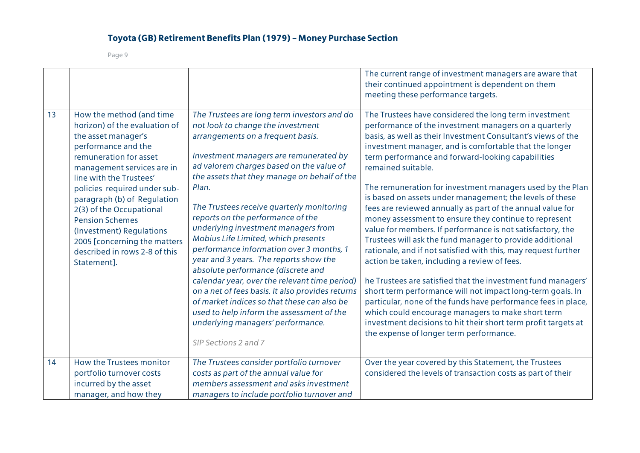|    |                                                                                                                                                                                                                                                                                                                                                                                                                             |                                                                                                                                                                                                                                                                                                                                                                                                                                                                                                                                                                                                                                                                                                                                                                                                                                | The current range of investment managers are aware that<br>their continued appointment is dependent on them<br>meeting these performance targets.                                                                                                                                                                                                                                                                                                                                                                                                                                                                                                                                                                                                                                                                                                                                                                                                                                                                                                                                                                                                                                |
|----|-----------------------------------------------------------------------------------------------------------------------------------------------------------------------------------------------------------------------------------------------------------------------------------------------------------------------------------------------------------------------------------------------------------------------------|--------------------------------------------------------------------------------------------------------------------------------------------------------------------------------------------------------------------------------------------------------------------------------------------------------------------------------------------------------------------------------------------------------------------------------------------------------------------------------------------------------------------------------------------------------------------------------------------------------------------------------------------------------------------------------------------------------------------------------------------------------------------------------------------------------------------------------|----------------------------------------------------------------------------------------------------------------------------------------------------------------------------------------------------------------------------------------------------------------------------------------------------------------------------------------------------------------------------------------------------------------------------------------------------------------------------------------------------------------------------------------------------------------------------------------------------------------------------------------------------------------------------------------------------------------------------------------------------------------------------------------------------------------------------------------------------------------------------------------------------------------------------------------------------------------------------------------------------------------------------------------------------------------------------------------------------------------------------------------------------------------------------------|
| 13 | How the method (and time<br>horizon) of the evaluation of<br>the asset manager's<br>performance and the<br>remuneration for asset<br>management services are in<br>line with the Trustees'<br>policies required under sub-<br>paragraph (b) of Regulation<br>2(3) of the Occupational<br><b>Pension Schemes</b><br>(Investment) Regulations<br>2005 [concerning the matters<br>described in rows 2-8 of this<br>Statement]. | The Trustees are long term investors and do<br>not look to change the investment<br>arrangements on a frequent basis.<br>Investment managers are remunerated by<br>ad valorem charges based on the value of<br>the assets that they manage on behalf of the<br>Plan.<br>The Trustees receive quarterly monitoring<br>reports on the performance of the<br>underlying investment managers from<br>Mobius Life Limited, which presents<br>performance information over 3 months, 1<br>year and 3 years. The reports show the<br>absolute performance (discrete and<br>calendar year, over the relevant time period)<br>on a net of fees basis. It also provides returns<br>of market indices so that these can also be<br>used to help inform the assessment of the<br>underlying managers' performance.<br>SIP Sections 2 and 7 | The Trustees have considered the long term investment<br>performance of the investment managers on a quarterly<br>basis, as well as their Investment Consultant's views of the<br>investment manager, and is comfortable that the longer<br>term performance and forward-looking capabilities<br>remained suitable.<br>The remuneration for investment managers used by the Plan<br>is based on assets under management; the levels of these<br>fees are reviewed annually as part of the annual value for<br>money assessment to ensure they continue to represent<br>value for members. If performance is not satisfactory, the<br>Trustees will ask the fund manager to provide additional<br>rationale, and if not satisfied with this, may request further<br>action be taken, including a review of fees.<br>he Trustees are satisfied that the investment fund managers'<br>short term performance will not impact long-term goals. In<br>particular, none of the funds have performance fees in place,<br>which could encourage managers to make short term<br>investment decisions to hit their short term profit targets at<br>the expense of longer term performance. |
| 14 | How the Trustees monitor<br>portfolio turnover costs<br>incurred by the asset<br>manager, and how they                                                                                                                                                                                                                                                                                                                      | The Trustees consider portfolio turnover<br>costs as part of the annual value for<br>members assessment and asks investment<br>managers to include portfolio turnover and                                                                                                                                                                                                                                                                                                                                                                                                                                                                                                                                                                                                                                                      | Over the year covered by this Statement, the Trustees<br>considered the levels of transaction costs as part of their                                                                                                                                                                                                                                                                                                                                                                                                                                                                                                                                                                                                                                                                                                                                                                                                                                                                                                                                                                                                                                                             |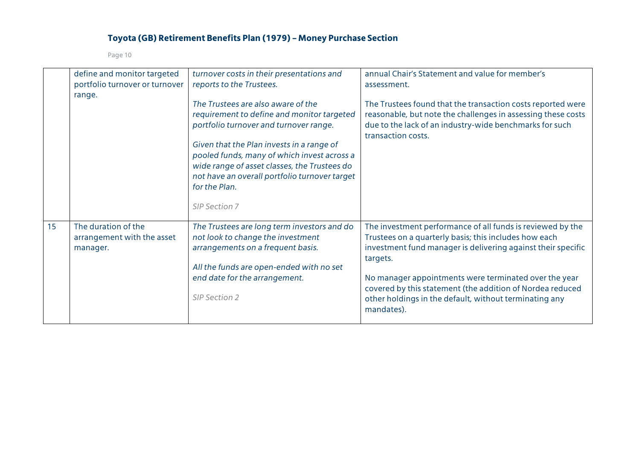|    | define and monitor targeted<br>portfolio turnover or turnover                                                                                                                                                                                                                        | turnover costs in their presentations and<br>reports to the Trustees.                                                                                                                                                                                                                                                                                     | annual Chair's Statement and value for member's<br>assessment.                                                                                                                                                                                                                                                                                                                                |  |  |  |
|----|--------------------------------------------------------------------------------------------------------------------------------------------------------------------------------------------------------------------------------------------------------------------------------------|-----------------------------------------------------------------------------------------------------------------------------------------------------------------------------------------------------------------------------------------------------------------------------------------------------------------------------------------------------------|-----------------------------------------------------------------------------------------------------------------------------------------------------------------------------------------------------------------------------------------------------------------------------------------------------------------------------------------------------------------------------------------------|--|--|--|
|    | range.                                                                                                                                                                                                                                                                               | The Trustees are also aware of the<br>requirement to define and monitor targeted<br>portfolio turnover and turnover range.<br>Given that the Plan invests in a range of<br>pooled funds, many of which invest across a<br>wide range of asset classes, the Trustees do<br>not have an overall portfolio turnover target<br>for the Plan.<br>SIP Section 7 | The Trustees found that the transaction costs reported were<br>reasonable, but note the challenges in assessing these costs<br>due to the lack of an industry-wide benchmarks for such<br>transaction costs.                                                                                                                                                                                  |  |  |  |
| 15 | The duration of the<br>The Trustees are long term investors and do<br>not look to change the investment<br>arrangement with the asset<br>arrangements on a frequent basis.<br>manager.<br>All the funds are open-ended with no set<br>end date for the arrangement.<br>SIP Section 2 |                                                                                                                                                                                                                                                                                                                                                           | The investment performance of all funds is reviewed by the<br>Trustees on a quarterly basis; this includes how each<br>investment fund manager is delivering against their specific<br>targets.<br>No manager appointments were terminated over the year<br>covered by this statement (the addition of Nordea reduced<br>other holdings in the default, without terminating any<br>mandates). |  |  |  |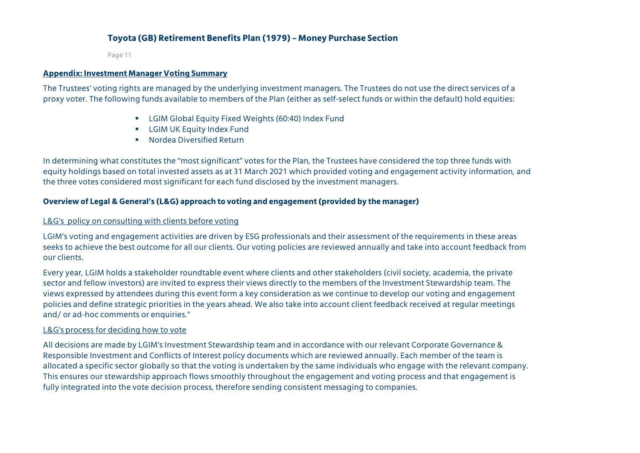Page 11

#### **Appendix: Investment Manager Voting Summary**

The Trustees' voting rights are managed by the underlying investment managers. The Trustees do not use the direct services of a proxy voter. The following funds available to members of the Plan (either as self-select funds or within the default) hold equities:

- LGIM Global Equity Fixed Weights (60:40) Index Fund
- **EXECUTE:** LGIM UK Equity Index Fund
- Nordea Diversified Return

In determining what constitutes the "most significant" votes for the Plan, the Trustees have considered the top three funds with equity holdings based on total invested assets as at 31 March 2021 which provided voting and engagement activity information, and the three votes considered most significant for each fund disclosed by the investment managers.

#### **Overview of Legal & General's (L&G) approach to voting and engagement (provided by the manager)**

#### L&G's policy on consulting with clients before voting

LGIM's voting and engagement activities are driven by ESG professionals and their assessment of the requirements in these areas seeks to achieve the best outcome for all our clients. Our voting policies are reviewed annually and take into account feedback from our clients.

Every year, LGIM holds a stakeholder roundtable event where clients and other stakeholders (civil society, academia, the private sector and fellow investors) are invited to express their views directly to the members of the Investment Stewardship team. The views expressed by attendees during this event form a key consideration as we continue to develop our voting and engagement policies and define strategic priorities in the years ahead. We also take into account client feedback received at regular meetings and/ or ad-hoc comments or enquiries."

#### L&G's process for deciding how to vote

All decisions are made by LGIM's Investment Stewardship team and in accordance with our relevant Corporate Governance & Responsible Investment and Conflicts of Interest policy documents which are reviewed annually. Each member of the team is allocated a specific sector globally so that the voting is undertaken by the same individuals who engage with the relevant company. This ensures our stewardship approach flows smoothly throughout the engagement and voting process and that engagement is fully integrated into the vote decision process, therefore sending consistent messaging to companies.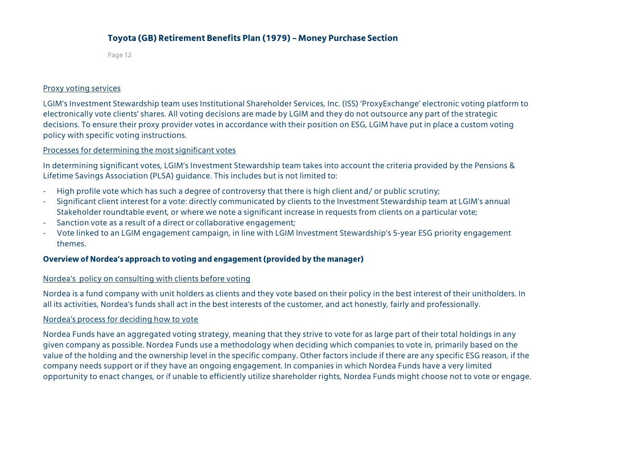Page 12

#### Proxy voting services

LGIM's Investment Stewardship team uses Institutional Shareholder Services, Inc. (ISS) 'ProxyExchange' electronic voting platform to electronically vote clients' shares. All voting decisions are made by LGIM and they do not outsource any part of the strategic decisions. To ensure their proxy provider votes in accordance with their position on ESG, LGIM have put in place a custom voting policy with specific voting instructions.

#### Processes for determining the most significant votes

In determining significant votes, LGIM's Investment Stewardship team takes into account the criteria provided by the Pensions & Lifetime Savings Association (PLSA) guidance. This includes but is not limited to:

- High profile vote which has such a degree of controversy that there is high client and/ or public scrutiny;
- Significant client interest for a vote: directly communicated by clients to the Investment Stewardship team at LGIM's annual Stakeholder roundtable event, or where we note a significant increase in requests from clients on a particular vote;
- Sanction vote as a result of a direct or collaborative engagement;
- Vote linked to an LGIM engagement campaign, in line with LGIM Investment Stewardship's 5-year ESG priority engagement themes.

#### **Overview of Nordea's approach to voting and engagement (provided by the manager)**

#### Nordea's policy on consulting with clients before voting

Nordea is a fund company with unit holders as clients and they vote based on their policy in the best interest of their unitholders. In all its activities, Nordea's funds shall act in the best interests of the customer, and act honestly, fairly and professionally.

#### Nordea's process for deciding how to vote

Nordea Funds have an aggregated voting strategy, meaning that they strive to vote for as large part of their total holdings in any given company as possible. Nordea Funds use a methodology when deciding which companies to vote in, primarily based on the value of the holding and the ownership level in the specific company. Other factors include if there are any specific ESG reason, if the company needs support or if they have an ongoing engagement. In companies in which Nordea Funds have a very limited opportunity to enact changes, or if unable to efficiently utilize shareholder rights, Nordea Funds might choose not to vote or engage.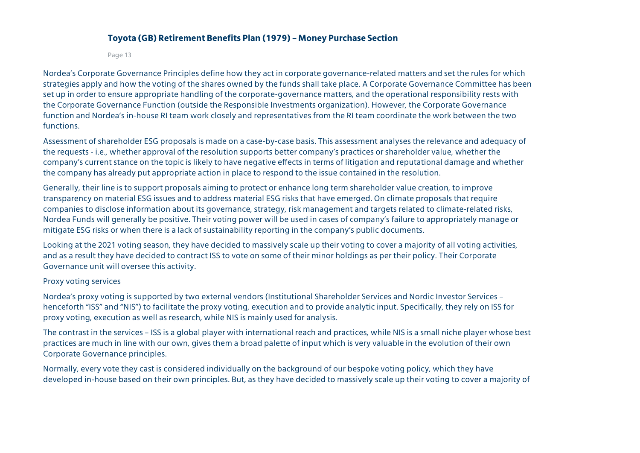Page 13

Nordea's Corporate Governance Principles define how they act in corporate governance-related matters and set the rules for which strategies apply and how the voting of the shares owned by the funds shall take place. A Corporate Governance Committee has been set up in order to ensure appropriate handling of the corporate-governance matters, and the operational responsibility rests with the Corporate Governance Function (outside the Responsible Investments organization). However, the Corporate Governance function and Nordea's in-house RI team work closely and representatives from the RI team coordinate the work between the two functions.

Assessment of shareholder ESG proposals is made on a case-by-case basis. This assessment analyses the relevance and adequacy of the requests - i.e., whether approval of the resolution supports better company's practices or shareholder value, whether the company's current stance on the topic is likely to have negative effects in terms of litigation and reputational damage and whether the company has already put appropriate action in place to respond to the issue contained in the resolution.

Generally, their line is to support proposals aiming to protect or enhance long term shareholder value creation, to improve transparency on material ESG issues and to address material ESG risks that have emerged. On climate proposals that require companies to disclose information about its governance, strategy, risk management and targets related to climate-related risks, Nordea Funds will generally be positive. Their voting power will be used in cases of company's failure to appropriately manage or mitigate ESG risks or when there is a lack of sustainability reporting in the company's public documents.

Looking at the 2021 voting season, they have decided to massively scale up their voting to cover a majority of all voting activities, and as a result they have decided to contract ISS to vote on some of their minor holdings as per their policy. Their Corporate Governance unit will oversee this activity.

#### Proxy voting services

Nordea's proxy voting is supported by two external vendors (Institutional Shareholder Services and Nordic Investor Services – henceforth "ISS" and "NIS") to facilitate the proxy voting, execution and to provide analytic input. Specifically, they rely on ISS for proxy voting, execution as well as research, while NIS is mainly used for analysis.

The contrast in the services – ISS is a global player with international reach and practices, while NIS is a small niche player whose best practices are much in line with our own, gives them a broad palette of input which is very valuable in the evolution of their own Corporate Governance principles.

Normally, every vote they cast is considered individually on the background of our bespoke voting policy, which they have developed in-house based on their own principles. But, as they have decided to massively scale up their voting to cover a majority of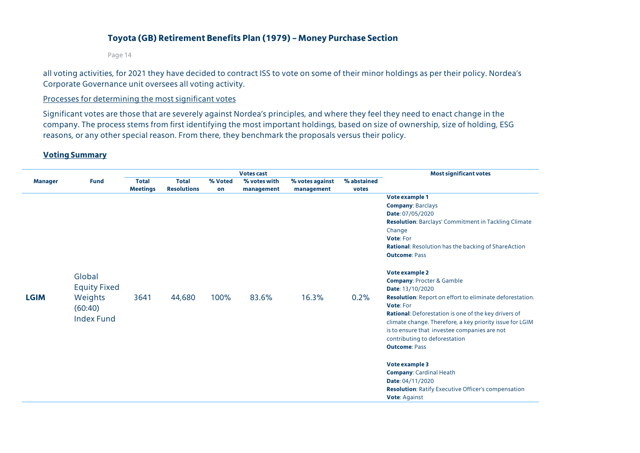Page 14

all voting activities, for 2021 they have decided to contract ISS to vote on some of their minor holdings as per their policy. Nordea's Corporate Governance unit oversees all voting activity.

#### Processes for determining the most significant votes

Significant votes are those that are severely against Nordea's principles, and where they feel they need to enact change in the company. The process stems from first identifying the most important holdings, based on size of ownership, size of holding, ESG reasons, or any other special reason. From there, they benchmark the proposals versus their policy.

#### **Voting Summary**

|                | <b>Fund</b>         |                 |                    |                         | <b>Most significant votes</b> |             |       |                                                                 |
|----------------|---------------------|-----------------|--------------------|-------------------------|-------------------------------|-------------|-------|-----------------------------------------------------------------|
| <b>Manager</b> |                     | <b>Total</b>    | <b>Total</b>       | % Voted<br>% votes with | % votes against               | % abstained |       |                                                                 |
|                |                     | <b>Meetings</b> | <b>Resolutions</b> | on                      | management                    | management  | votes |                                                                 |
|                |                     |                 |                    |                         |                               |             |       | Vote example 1                                                  |
|                |                     |                 |                    |                         |                               |             |       | <b>Company: Barclays</b>                                        |
|                |                     |                 |                    |                         |                               |             |       | Date: 07/05/2020                                                |
|                |                     |                 |                    |                         |                               |             |       | <b>Resolution: Barclays' Commitment in Tackling Climate</b>     |
|                |                     |                 |                    |                         |                               |             |       | Change                                                          |
|                |                     |                 |                    |                         |                               |             |       | Vote: For                                                       |
|                |                     |                 |                    |                         |                               |             |       | <b>Rational:</b> Resolution has the backing of ShareAction      |
|                |                     |                 |                    |                         |                               |             |       | <b>Outcome: Pass</b>                                            |
|                | Global              |                 |                    |                         |                               |             |       | Vote example 2                                                  |
|                |                     |                 |                    |                         |                               |             |       | <b>Company: Procter &amp; Gamble</b>                            |
|                | <b>Equity Fixed</b> |                 |                    |                         |                               |             |       | Date: 13/10/2020                                                |
| <b>LGIM</b>    | Weights             | 3641            | 44,680             | 100%                    | 83.6%                         | 16.3%       | 0.2%  | <b>Resolution:</b> Report on effort to eliminate deforestation. |
|                | (60:40)             |                 |                    |                         |                               |             |       | Vote: For                                                       |
|                |                     |                 |                    |                         |                               |             |       | <b>Rational:</b> Deforestation is one of the key drivers of     |
|                | <b>Index Fund</b>   |                 |                    |                         |                               |             |       | climate change. Therefore, a key priority issue for LGIM        |
|                |                     |                 |                    |                         |                               |             |       | is to ensure that investee companies are not                    |
|                |                     |                 |                    |                         |                               |             |       | contributing to deforestation                                   |
|                |                     |                 |                    |                         |                               |             |       | <b>Outcome: Pass</b>                                            |
|                |                     |                 |                    |                         |                               |             |       | Vote example 3                                                  |
|                |                     |                 |                    |                         |                               |             |       | <b>Company: Cardinal Heath</b>                                  |
|                |                     |                 |                    |                         |                               |             |       | Date: 04/11/2020                                                |
|                |                     |                 |                    |                         |                               |             |       | <b>Resolution:</b> Ratify Executive Officer's compensation      |
|                |                     |                 |                    |                         |                               |             |       | <b>Vote: Against</b>                                            |